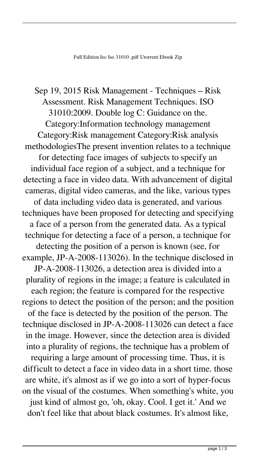Sep 19, 2015 Risk Management - Techniques – Risk Assessment. Risk Management Techniques. ISO 31010:2009. Double log C: Guidance on the. Category:Information technology management Category:Risk management Category:Risk analysis methodologiesThe present invention relates to a technique for detecting face images of subjects to specify an individual face region of a subject, and a technique for detecting a face in video data. With advancement of digital cameras, digital video cameras, and the like, various types of data including video data is generated, and various techniques have been proposed for detecting and specifying a face of a person from the generated data. As a typical technique for detecting a face of a person, a technique for detecting the position of a person is known (see, for example, JP-A-2008-113026). In the technique disclosed in JP-A-2008-113026, a detection area is divided into a plurality of regions in the image; a feature is calculated in each region; the feature is compared for the respective regions to detect the position of the person; and the position of the face is detected by the position of the person. The technique disclosed in JP-A-2008-113026 can detect a face in the image. However, since the detection area is divided into a plurality of regions, the technique has a problem of requiring a large amount of processing time. Thus, it is difficult to detect a face in video data in a short time. those are white, it's almost as if we go into a sort of hyper-focus on the visual of the costumes. When something's white, you just kind of almost go, 'oh, okay. Cool. I get it.' And we don't feel like that about black costumes. It's almost like,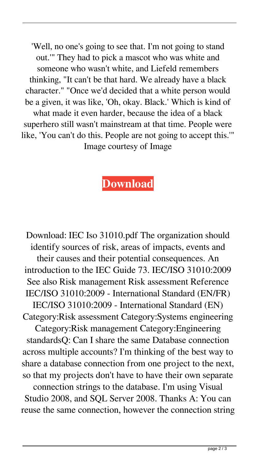'Well, no one's going to see that. I'm not going to stand out.'" They had to pick a mascot who was white and someone who wasn't white, and Liefeld remembers thinking, "It can't be that hard. We already have a black character." "Once we'd decided that a white person would be a given, it was like, 'Oh, okay. Black.' Which is kind of what made it even harder, because the idea of a black superhero still wasn't mainstream at that time. People were like, 'You can't do this. People are not going to accept this.'" Image courtesy of Image

## **[Download](http://evacdir.com/noisemakers/seattle.ZG93bmxvYWR8dk84TVdoMGRueDhNVFkxTWpjME1EZzJObng4TWpVM05IeDhLRTBwSUhKbFlXUXRZbXh2WnlCYlJtRnpkQ0JIUlU1ZA/SWVjIElzbyAzMTAxMC5wZGYSWV/?kilowatts=snowstorm)**

Download: IEC Iso 31010.pdf The organization should identify sources of risk, areas of impacts, events and their causes and their potential consequences. An introduction to the IEC Guide 73. IEC/ISO 31010:2009 See also Risk management Risk assessment Reference IEC/ISO 31010:2009 - International Standard (EN/FR) IEC/ISO 31010:2009 - International Standard (EN) Category:Risk assessment Category:Systems engineering Category:Risk management Category:Engineering standardsQ: Can I share the same Database connection across multiple accounts? I'm thinking of the best way to share a database connection from one project to the next, so that my projects don't have to have their own separate connection strings to the database. I'm using Visual Studio 2008, and SQL Server 2008. Thanks A: You can reuse the same connection, however the connection string